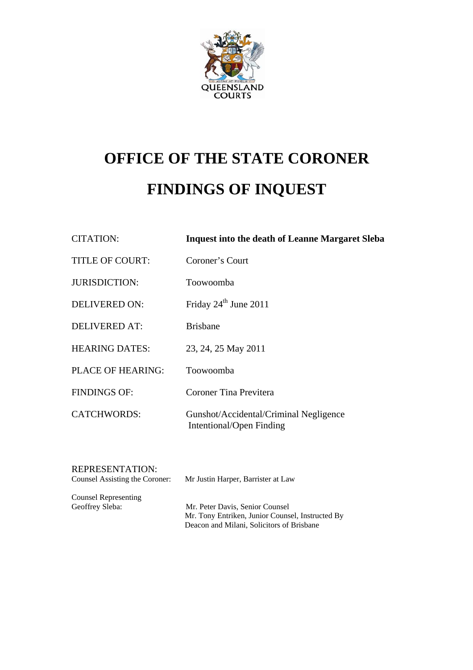

# **OFFICE OF THE STATE CORONER FINDINGS OF INQUEST**

| <b>CITATION:</b>       | <b>Inquest into the death of Leanne Margaret Sleba</b>             |
|------------------------|--------------------------------------------------------------------|
| <b>TITLE OF COURT:</b> | Coroner's Court                                                    |
| <b>JURISDICTION:</b>   | Toowoomba                                                          |
| <b>DELIVERED ON:</b>   | Friday $24th$ June 2011                                            |
| <b>DELIVERED AT:</b>   | <b>Brishane</b>                                                    |
| <b>HEARING DATES:</b>  | 23, 24, 25 May 2011                                                |
| PLACE OF HEARING:      | Toowoomba                                                          |
| <b>FINDINGS OF:</b>    | Coroner Tina Previtera                                             |
| <b>CATCHWORDS:</b>     | Gunshot/Accidental/Criminal Negligence<br>Intentional/Open Finding |
|                        |                                                                    |

REPRESENTATION:

Counsel Assisting the Coroner: Mr Justin Harper, Barrister at Law

Counsel Representing Geoffrey Sleba: Mr. Peter Davis, Senior Counsel Mr. Tony Entriken, Junior Counsel, Instructed By Deacon and Milani, Solicitors of Brisbane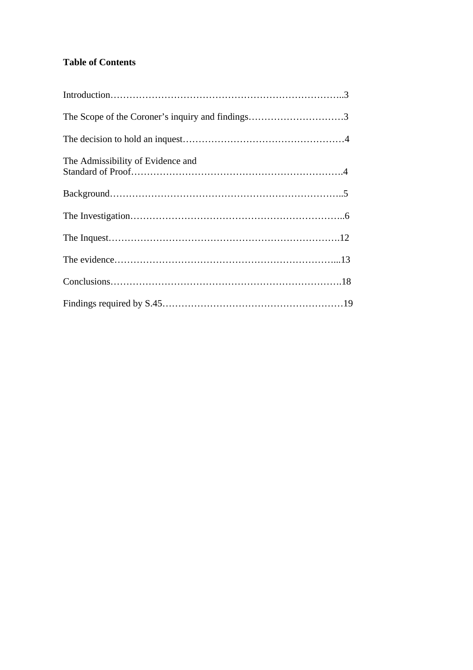# **Table of Contents**

| The Admissibility of Evidence and |  |
|-----------------------------------|--|
|                                   |  |
|                                   |  |
|                                   |  |
|                                   |  |
|                                   |  |
|                                   |  |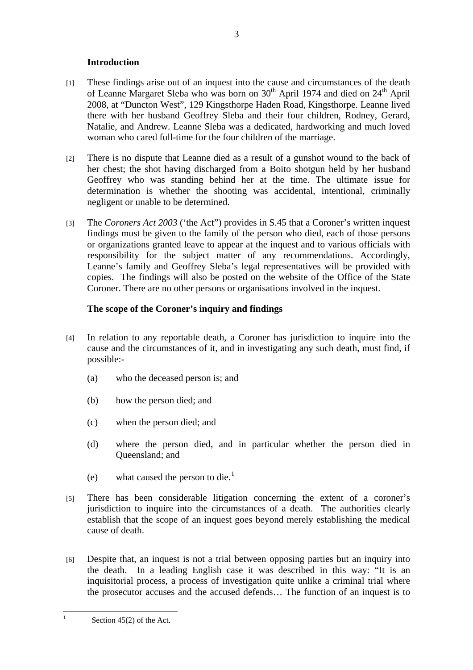# **Introduction**

- <span id="page-2-0"></span>[1] These findings arise out of an inquest into the cause and circumstances of the death of Leanne Margaret Sleba who was born on  $30<sup>th</sup>$  April 1974 and died on  $24<sup>th</sup>$  April 2008, at "Duncton West", 129 Kingsthorpe Haden Road, Kingsthorpe. Leanne lived there with her husband Geoffrey Sleba and their four children, Rodney, Gerard, Natalie, and Andrew. Leanne Sleba was a dedicated, hardworking and much loved woman who cared full-time for the four children of the marriage.
- [2] There is no dispute that Leanne died as a result of a gunshot wound to the back of her chest; the shot having discharged from a Boito shotgun held by her husband Geoffrey who was standing behind her at the time. The ultimate issue for determination is whether the shooting was accidental, intentional, criminally negligent or unable to be determined.
- [3] The *Coroners Act 2003* ('the Act") provides in S.45 that a Coroner's written inquest findings must be given to the family of the person who died, each of those persons or organizations granted leave to appear at the inquest and to various officials with responsibility for the subject matter of any recommendations. Accordingly, Leanne's family and Geoffrey Sleba's legal representatives will be provided with copies. The findings will also be posted on the website of the Office of the State Coroner. There are no other persons or organisations involved in the inquest.

# **The scope of the Coroner's inquiry and findings**

- [4] In relation to any reportable death, a Coroner has jurisdiction to inquire into the cause and the circumstances of it, and in investigating any such death, must find, if possible:-
	- (a) who the deceased person is; and
	- (b) how the person died; and
	- (c) when the person died; and
	- (d) where the person died, and in particular whether the person died in Queensland; and
	- (e) what caused the person to die.<sup>[1](#page-2-0)</sup>
- [5] There has been considerable litigation concerning the extent of a coroner's jurisdiction to inquire into the circumstances of a death. The authorities clearly establish that the scope of an inquest goes beyond merely establishing the medical cause of death.
- [6] Despite that, an inquest is not a trial between opposing parties but an inquiry into the death. In a leading English case it was described in this way: "It is an inquisitorial process, a process of investigation quite unlike a criminal trial where the prosecutor accuses and the accused defends… The function of an inquest is to

 $\frac{1}{1}$ 

Section 45(2) of the Act.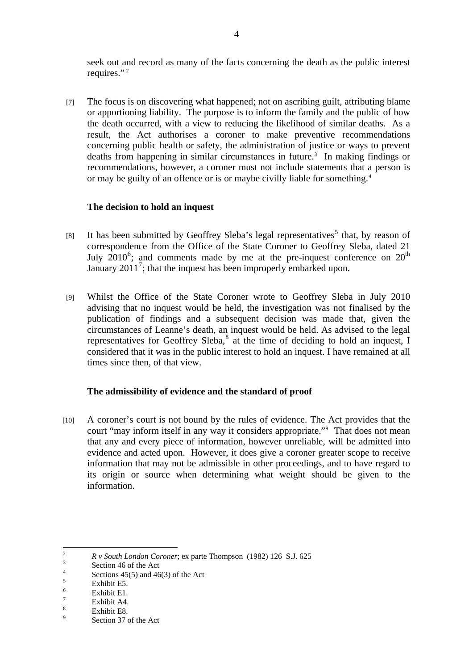<span id="page-3-0"></span>seek out and record as many of the facts concerning the death as the public interest requires."<sup>[2](#page-3-0)</sup>

[7] The focus is on discovering what happened; not on ascribing guilt, attributing blame or apportioning liability. The purpose is to inform the family and the public of how the death occurred, with a view to reducing the likelihood of similar deaths. As a result, the Act authorises a coroner to make preventive recommendations concerning public health or safety, the administration of justice or ways to prevent deaths from happening in similar circumstances in future.<sup>[3](#page-3-0)</sup> In making findings or recommendations, however, a coroner must not include statements that a person is or may be guilty of an offence or is or maybe civilly liable for something.[4](#page-3-0)

# **The decision to hold an inquest**

- [8] It has been submitted by Geoffrey Sleba's legal representatives<sup>[5](#page-3-0)</sup> that, by reason of correspondence from the Office of the State Coroner to Geoffrey Sleba, dated 21 July  $2010^6$  $2010^6$ ; and comments made by me at the pre-inquest conference on  $20^{\text{th}}$ January  $2011^7$  $2011^7$ ; that the inquest has been improperly embarked upon.
- [9] Whilst the Office of the State Coroner wrote to Geoffrey Sleba in July 2010 advising that no inquest would be held, the investigation was not finalised by the publication of findings and a subsequent decision was made that, given the circumstances of Leanne's death, an inquest would be held. As advised to the legal representatives for Geoffrey Sleba, $^8$  $^8$  at the time of deciding to hold an inquest, I considered that it was in the public interest to hold an inquest. I have remained at all times since then, of that view.

## **The admissibility of evidence and the standard of proof**

[10] A coroner's court is not bound by the rules of evidence. The Act provides that the court "may inform itself in any way it considers appropriate."[9](#page-3-0) That does not mean that any and every piece of information, however unreliable, will be admitted into evidence and acted upon. However, it does give a coroner greater scope to receive information that may not be admissible in other proceedings, and to have regard to its origin or source when determining what weight should be given to the information.

 $\frac{1}{2}$ *R v South London Coroner*; ex parte Thompson (1982) 126 S.J. 625

Section 46 of the Act

<sup>4</sup> Sections 45(5) and 46(3) of the Act

<sup>5</sup> Exhibit E5.

<sup>6</sup> Exhibit E1.

<sup>7</sup> Exhibit A4.

<sup>8</sup> Exhibit E8.

 $\alpha$ Section 37 of the Act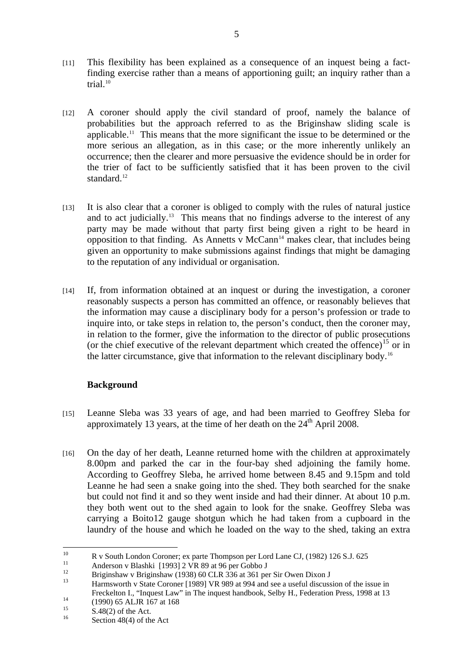- <span id="page-4-0"></span>[11] This flexibility has been explained as a consequence of an inquest being a factfinding exercise rather than a means of apportioning guilt; an inquiry rather than a trial. $10$
- [12] A coroner should apply the civil standard of proof, namely the balance of probabilities but the approach referred to as the Briginshaw sliding scale is applicable.[11](#page-4-0) This means that the more significant the issue to be determined or the more serious an allegation, as in this case; or the more inherently unlikely an occurrence; then the clearer and more persuasive the evidence should be in order for the trier of fact to be sufficiently satisfied that it has been proven to the civil standard.<sup>[12](#page-4-0)</sup>
- [13] It is also clear that a coroner is obliged to comply with the rules of natural justice and to act judicially.<sup>[13](#page-4-0)</sup> This means that no findings adverse to the interest of any party may be made without that party first being given a right to be heard in opposition to that finding. As Annetts v  $McCam<sup>14</sup>$  $McCam<sup>14</sup>$  $McCam<sup>14</sup>$  makes clear, that includes being given an opportunity to make submissions against findings that might be damaging to the reputation of any individual or organisation.
- [14] If, from information obtained at an inquest or during the investigation, a coroner reasonably suspects a person has committed an offence, or reasonably believes that the information may cause a disciplinary body for a person's profession or trade to inquire into, or take steps in relation to, the person's conduct, then the coroner may, in relation to the former, give the information to the director of public prosecutions (or the chief executive of the relevant department which created the offence)<sup>[15](#page-4-0)</sup> or in the latter circumstance, give that information to the relevant disciplinary body.[16](#page-4-0)

# **Background**

- [15] Leanne Sleba was 33 years of age, and had been married to Geoffrey Sleba for approximately 13 years, at the time of her death on the  $24<sup>th</sup>$  April 2008.
- [16] On the day of her death, Leanne returned home with the children at approximately 8.00pm and parked the car in the four-bay shed adjoining the family home. According to Geoffrey Sleba, he arrived home between 8.45 and 9.15pm and told Leanne he had seen a snake going into the shed. They both searched for the snake but could not find it and so they went inside and had their dinner. At about 10 p.m. they both went out to the shed again to look for the snake. Geoffrey Sleba was carrying a Boito12 gauge shotgun which he had taken from a cupboard in the laundry of the house and which he loaded on the way to the shed, taking an extra

 $10^{\circ}$ <sup>10</sup> R v South London Coroner; ex parte Thompson per Lord Lane CJ, (1982) 126 S.J. 625

<sup>&</sup>lt;sup>11</sup> Anderson v Blashki  $[1993]$  2 VR 89 at 96 per Gobbo J

<sup>&</sup>lt;sup>12</sup> Briginshaw v Briginshaw (1938) 60 CLR 336 at 361 per Sir Owen Dixon J

<sup>13</sup> Harmsworth v State Coroner [1989] VR 989 at 994 and see a useful discussion of the issue in Freckelton I., "Inquest Law" in The inquest handbook, Selby H., Federation Press, 1998 at 13<br>
(1990) 65 ALJR 167 at 168

 $S.48(2)$  of the Act. Section  $48(4)$  of the Act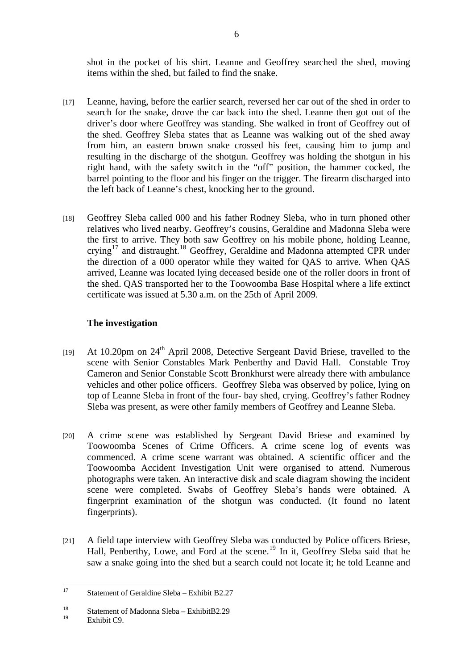<span id="page-5-0"></span>shot in the pocket of his shirt. Leanne and Geoffrey searched the shed, moving items within the shed, but failed to find the snake.

- [17] Leanne, having, before the earlier search, reversed her car out of the shed in order to search for the snake, drove the car back into the shed. Leanne then got out of the driver's door where Geoffrey was standing. She walked in front of Geoffrey out of the shed. Geoffrey Sleba states that as Leanne was walking out of the shed away from him, an eastern brown snake crossed his feet, causing him to jump and resulting in the discharge of the shotgun. Geoffrey was holding the shotgun in his right hand, with the safety switch in the "off" position, the hammer cocked, the barrel pointing to the floor and his finger on the trigger. The firearm discharged into the left back of Leanne's chest, knocking her to the ground.
- [18] Geoffrey Sleba called 000 and his father Rodney Sleba, who in turn phoned other relatives who lived nearby. Geoffrey's cousins, Geraldine and Madonna Sleba were the first to arrive. They both saw Geoffrey on his mobile phone, holding Leanne, crying<sup>[17](#page-5-0)</sup> and distraught.<sup>[18](#page-5-0)</sup> Geoffrey, Geraldine and Madonna attempted CPR under the direction of a 000 operator while they waited for QAS to arrive. When QAS arrived, Leanne was located lying deceased beside one of the roller doors in front of the shed. QAS transported her to the Toowoomba Base Hospital where a life extinct certificate was issued at 5.30 a.m. on the 25th of April 2009.

# **The investigation**

- [19] At 10.20pm on 24<sup>th</sup> April 2008, Detective Sergeant David Briese, travelled to the scene with Senior Constables Mark Penberthy and David Hall. Constable Troy Cameron and Senior Constable Scott Bronkhurst were already there with ambulance vehicles and other police officers. Geoffrey Sleba was observed by police, lying on top of Leanne Sleba in front of the four- bay shed, crying. Geoffrey's father Rodney Sleba was present, as were other family members of Geoffrey and Leanne Sleba.
- [20] A crime scene was established by Sergeant David Briese and examined by Toowoomba Scenes of Crime Officers. A crime scene log of events was commenced. A crime scene warrant was obtained. A scientific officer and the Toowoomba Accident Investigation Unit were organised to attend. Numerous photographs were taken. An interactive disk and scale diagram showing the incident scene were completed. Swabs of Geoffrey Sleba's hands were obtained. A fingerprint examination of the shotgun was conducted. (It found no latent fingerprints).
- [21] A field tape interview with Geoffrey Sleba was conducted by Police officers Briese, Hall, Penberthy, Lowe, and Ford at the scene.<sup>[19](#page-5-0)</sup> In it, Geoffrey Sleba said that he saw a snake going into the shed but a search could not locate it; he told Leanne and

Exhibit C9.

 $17$ 17 Statement of Geraldine Sleba – Exhibit B2.27

<sup>&</sup>lt;sup>18</sup> Statement of Madonna Sleba – ExhibitB2.29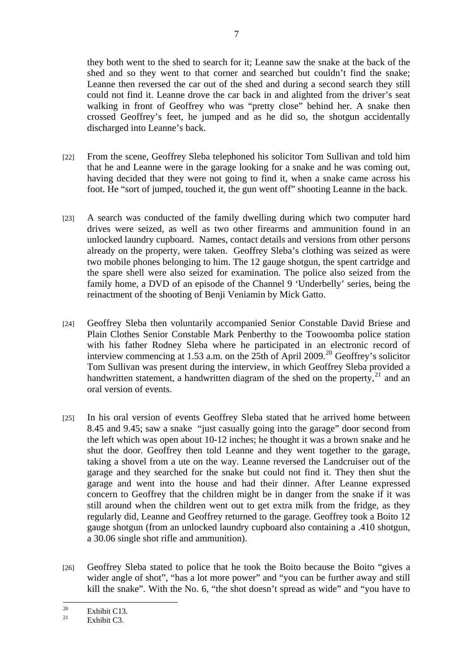<span id="page-6-0"></span>they both went to the shed to search for it; Leanne saw the snake at the back of the shed and so they went to that corner and searched but couldn't find the snake; Leanne then reversed the car out of the shed and during a second search they still could not find it. Leanne drove the car back in and alighted from the driver's seat walking in front of Geoffrey who was "pretty close" behind her. A snake then crossed Geoffrey's feet, he jumped and as he did so, the shotgun accidentally discharged into Leanne's back.

- [22] From the scene, Geoffrey Sleba telephoned his solicitor Tom Sullivan and told him that he and Leanne were in the garage looking for a snake and he was coming out, having decided that they were not going to find it, when a snake came across his foot. He "sort of jumped, touched it, the gun went off" shooting Leanne in the back.
- [23] A search was conducted of the family dwelling during which two computer hard drives were seized, as well as two other firearms and ammunition found in an unlocked laundry cupboard. Names, contact details and versions from other persons already on the property, were taken. Geoffrey Sleba's clothing was seized as were two mobile phones belonging to him. The 12 gauge shotgun, the spent cartridge and the spare shell were also seized for examination. The police also seized from the family home, a DVD of an episode of the Channel 9 'Underbelly' series, being the reinactment of the shooting of Benji Veniamin by Mick Gatto.
- [24] Geoffrey Sleba then voluntarily accompanied Senior Constable David Briese and Plain Clothes Senior Constable Mark Penberthy to the Toowoomba police station with his father Rodney Sleba where he participated in an electronic record of interview commencing at 1.53 a.m. on the 25th of April [20](#page-6-0)09.<sup>20</sup> Geoffrey's solicitor Tom Sullivan was present during the interview, in which Geoffrey Sleba provided a handwritten statement, a handwritten diagram of the shed on the property, $^{21}$  $^{21}$  $^{21}$  and an oral version of events.
- [25] In his oral version of events Geoffrey Sleba stated that he arrived home between 8.45 and 9.45; saw a snake "just casually going into the garage" door second from the left which was open about 10-12 inches; he thought it was a brown snake and he shut the door. Geoffrey then told Leanne and they went together to the garage, taking a shovel from a ute on the way. Leanne reversed the Landcruiser out of the garage and they searched for the snake but could not find it. They then shut the garage and went into the house and had their dinner. After Leanne expressed concern to Geoffrey that the children might be in danger from the snake if it was still around when the children went out to get extra milk from the fridge, as they regularly did, Leanne and Geoffrey returned to the garage. Geoffrey took a Boito 12 gauge shotgun (from an unlocked laundry cupboard also containing a .410 shotgun, a 30.06 single shot rifle and ammunition).
- [26] Geoffrey Sleba stated to police that he took the Boito because the Boito "gives a wider angle of shot", "has a lot more power" and "you can be further away and still kill the snake". With the No. 6, "the shot doesn't spread as wide" and "you have to

 $20<sup>o</sup>$  $\frac{20}{21}$  Exhibit C13.

Exhibit  $C<sup>3</sup>$ .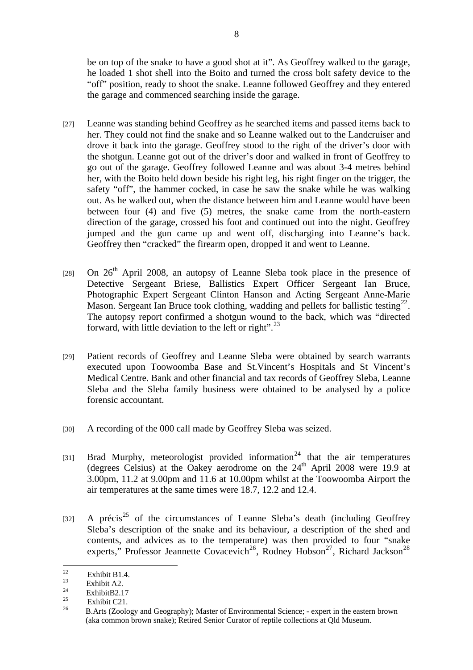<span id="page-7-0"></span>be on top of the snake to have a good shot at it". As Geoffrey walked to the garage, he loaded 1 shot shell into the Boito and turned the cross bolt safety device to the "off" position, ready to shoot the snake. Leanne followed Geoffrey and they entered the garage and commenced searching inside the garage.

- [27] Leanne was standing behind Geoffrey as he searched items and passed items back to her. They could not find the snake and so Leanne walked out to the Landcruiser and drove it back into the garage. Geoffrey stood to the right of the driver's door with the shotgun. Leanne got out of the driver's door and walked in front of Geoffrey to go out of the garage. Geoffrey followed Leanne and was about 3-4 metres behind her, with the Boito held down beside his right leg, his right finger on the trigger, the safety "off", the hammer cocked, in case he saw the snake while he was walking out. As he walked out, when the distance between him and Leanne would have been between four (4) and five (5) metres, the snake came from the north-eastern direction of the garage, crossed his foot and continued out into the night. Geoffrey jumped and the gun came up and went off, discharging into Leanne's back. Geoffrey then "cracked" the firearm open, dropped it and went to Leanne.
- [28] On  $26<sup>th</sup>$  April 2008, an autopsy of Leanne Sleba took place in the presence of Detective Sergeant Briese, Ballistics Expert Officer Sergeant Ian Bruce, Photographic Expert Sergeant Clinton Hanson and Acting Sergeant Anne-Marie Mason. Sergeant Ian Bruce took clothing, wadding and pellets for ballistic testing<sup>[22](#page-7-0)</sup>. The autopsy report confirmed a shotgun wound to the back, which was "directed forward, with little deviation to the left or right". $^{23}$  $^{23}$  $^{23}$
- [29] Patient records of Geoffrey and Leanne Sleba were obtained by search warrants executed upon Toowoomba Base and St.Vincent's Hospitals and St Vincent's Medical Centre. Bank and other financial and tax records of Geoffrey Sleba, Leanne Sleba and the Sleba family business were obtained to be analysed by a police forensic accountant.
- [30] A recording of the 000 call made by Geoffrey Sleba was seized.
- [31] Brad Murphy, meteorologist provided information<sup>[24](#page-7-0)</sup> that the air temperatures (degrees Celsius) at the Oakey aerodrome on the 24th April 2008 were 19.9 at 3.00pm, 11.2 at 9.00pm and 11.6 at 10.00pm whilst at the Toowoomba Airport the air temperatures at the same times were 18.7, 12.2 and 12.4.
- [32] A précis<sup>[25](#page-7-0)</sup> of the circumstances of Leanne Sleba's death (including Geoffrey Sleba's description of the snake and its behaviour, a description of the shed and contents, and advices as to the temperature) was then provided to four "snake experts," Professor Jeannette Covacevich<sup>[26](#page-7-0)</sup>, Rodney Hobson<sup>[27](#page-7-0)</sup>, Richard Jackson<sup>[28](#page-7-0)</sup>

 $22$  $\frac{22}{23}$  Exhibit B1.4.

 $\frac{23}{24}$  Exhibit A2.

 $\frac{24}{25}$  ExhibitB2.17

<sup>&</sup>lt;sup>25</sup> Exhibit C21.

<sup>26</sup> B.Arts (Zoology and Geography); Master of Environmental Science; - expert in the eastern brown (aka common brown snake); Retired Senior Curator of reptile collections at Qld Museum.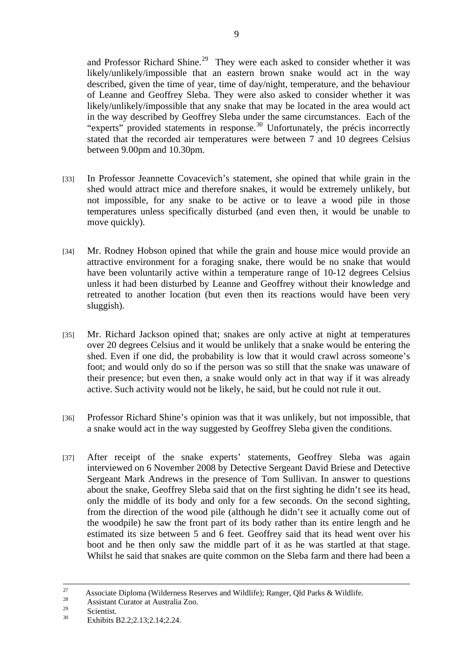<span id="page-8-0"></span>and Professor Richard Shine.<sup>[29](#page-8-0)</sup> They were each asked to consider whether it was likely/unlikely/impossible that an eastern brown snake would act in the way described, given the time of year, time of day/night, temperature, and the behaviour of Leanne and Geoffrey Sleba. They were also asked to consider whether it was likely/unlikely/impossible that any snake that may be located in the area would act in the way described by Geoffrey Sleba under the same circumstances. Each of the "experts" provided statements in response.<sup>[30](#page-8-0)</sup> Unfortunately, the précis incorrectly stated that the recorded air temperatures were between 7 and 10 degrees Celsius between 9.00pm and 10.30pm.

- [33] In Professor Jeannette Covacevich's statement, she opined that while grain in the shed would attract mice and therefore snakes, it would be extremely unlikely, but not impossible, for any snake to be active or to leave a wood pile in those temperatures unless specifically disturbed (and even then, it would be unable to move quickly).
- [34] Mr. Rodney Hobson opined that while the grain and house mice would provide an attractive environment for a foraging snake, there would be no snake that would have been voluntarily active within a temperature range of 10-12 degrees Celsius unless it had been disturbed by Leanne and Geoffrey without their knowledge and retreated to another location (but even then its reactions would have been very sluggish).
- [35] Mr. Richard Jackson opined that; snakes are only active at night at temperatures over 20 degrees Celsius and it would be unlikely that a snake would be entering the shed. Even if one did, the probability is low that it would crawl across someone's foot; and would only do so if the person was so still that the snake was unaware of their presence; but even then, a snake would only act in that way if it was already active. Such activity would not be likely, he said, but he could not rule it out.
- [36] Professor Richard Shine's opinion was that it was unlikely, but not impossible, that a snake would act in the way suggested by Geoffrey Sleba given the conditions.
- [37] After receipt of the snake experts' statements, Geoffrey Sleba was again interviewed on 6 November 2008 by Detective Sergeant David Briese and Detective Sergeant Mark Andrews in the presence of Tom Sullivan. In answer to questions about the snake, Geoffrey Sleba said that on the first sighting he didn't see its head, only the middle of its body and only for a few seconds. On the second sighting, from the direction of the wood pile (although he didn't see it actually come out of the woodpile) he saw the front part of its body rather than its entire length and he estimated its size between 5 and 6 feet. Geoffrey said that its head went over his boot and he then only saw the middle part of it as he was startled at that stage. Whilst he said that snakes are quite common on the Sleba farm and there had been a

<sup>27</sup> Associate Diploma (Wilderness Reserves and Wildlife); Ranger, Qld Parks & Wildlife.<br>Assistant Curator at Australia Zoo.

 $\frac{29}{30}$  Scientist.

Exhibits B2.2:2.13:2.14:2.24.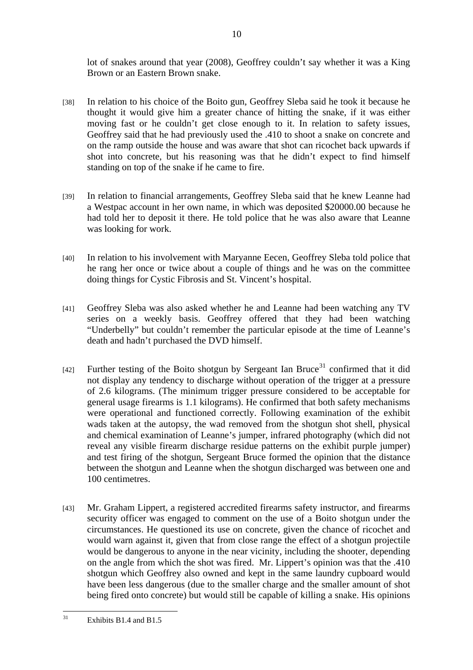<span id="page-9-0"></span>lot of snakes around that year (2008), Geoffrey couldn't say whether it was a King Brown or an Eastern Brown snake.

10

- [38] In relation to his choice of the Boito gun, Geoffrey Sleba said he took it because he thought it would give him a greater chance of hitting the snake, if it was either moving fast or he couldn't get close enough to it. In relation to safety issues, Geoffrey said that he had previously used the .410 to shoot a snake on concrete and on the ramp outside the house and was aware that shot can ricochet back upwards if shot into concrete, but his reasoning was that he didn't expect to find himself standing on top of the snake if he came to fire.
- [39] In relation to financial arrangements, Geoffrey Sleba said that he knew Leanne had a Westpac account in her own name, in which was deposited \$20000.00 because he had told her to deposit it there. He told police that he was also aware that Leanne was looking for work.
- [40] In relation to his involvement with Maryanne Eecen, Geoffrey Sleba told police that he rang her once or twice about a couple of things and he was on the committee doing things for Cystic Fibrosis and St. Vincent's hospital.
- [41] Geoffrey Sleba was also asked whether he and Leanne had been watching any TV series on a weekly basis. Geoffrey offered that they had been watching "Underbelly" but couldn't remember the particular episode at the time of Leanne's death and hadn't purchased the DVD himself.
- [42] Further testing of the Boito shotgun by Sergeant Ian Bruce<sup>[31](#page-9-0)</sup> confirmed that it did not display any tendency to discharge without operation of the trigger at a pressure of 2.6 kilograms. (The minimum trigger pressure considered to be acceptable for general usage firearms is 1.1 kilograms). He confirmed that both safety mechanisms were operational and functioned correctly. Following examination of the exhibit wads taken at the autopsy, the wad removed from the shotgun shot shell, physical and chemical examination of Leanne's jumper, infrared photography (which did not reveal any visible firearm discharge residue patterns on the exhibit purple jumper) and test firing of the shotgun, Sergeant Bruce formed the opinion that the distance between the shotgun and Leanne when the shotgun discharged was between one and 100 centimetres.
- [43] Mr. Graham Lippert, a registered accredited firearms safety instructor, and firearms security officer was engaged to comment on the use of a Boito shotgun under the circumstances. He questioned its use on concrete, given the chance of ricochet and would warn against it, given that from close range the effect of a shotgun projectile would be dangerous to anyone in the near vicinity, including the shooter, depending on the angle from which the shot was fired. Mr. Lippert's opinion was that the .410 shotgun which Geoffrey also owned and kept in the same laundry cupboard would have been less dangerous (due to the smaller charge and the smaller amount of shot being fired onto concrete) but would still be capable of killing a snake. His opinions

 $31$ Exhibits B1.4 and B1.5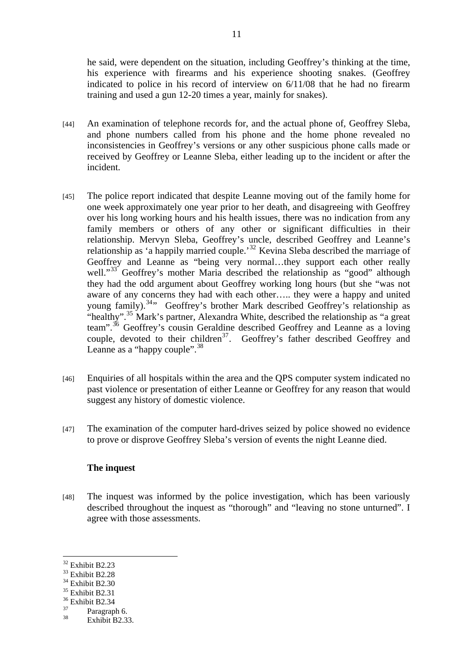<span id="page-10-0"></span>he said, were dependent on the situation, including Geoffrey's thinking at the time, his experience with firearms and his experience shooting snakes. (Geoffrey indicated to police in his record of interview on 6/11/08 that he had no firearm training and used a gun 12-20 times a year, mainly for snakes).

- [44] An examination of telephone records for, and the actual phone of, Geoffrey Sleba, and phone numbers called from his phone and the home phone revealed no inconsistencies in Geoffrey's versions or any other suspicious phone calls made or received by Geoffrey or Leanne Sleba, either leading up to the incident or after the incident.
- [45] The police report indicated that despite Leanne moving out of the family home for one week approximately one year prior to her death, and disagreeing with Geoffrey over his long working hours and his health issues, there was no indication from any family members or others of any other or significant difficulties in their relationship. Mervyn Sleba, Geoffrey's uncle, described Geoffrey and Leanne's relationship as 'a happily married couple.'[32](#page-10-0) Kevina Sleba described the marriage of Geoffrey and Leanne as "being very normal…they support each other really well."<sup>[33](#page-10-0)</sup> Geoffrey's mother Maria described the relationship as "good" although they had the odd argument about Geoffrey working long hours (but she "was not aware of any concerns they had with each other….. they were a happy and united young family).<sup>[34](#page-10-0)</sup>" Geoffrey's brother Mark described Geoffrey's relationship as "healthy".<sup>[35](#page-10-0)</sup> Mark's partner, Alexandra White, described the relationship as "a great team".<sup>[36](#page-10-0)</sup> Geoffrey's cousin Geraldine described Geoffrey and Leanne as a loving couple, devoted to their children<sup>[37](#page-10-0)</sup>. Geoffrey's father described Geoffrey and Leanne as a "happy couple".<sup>[38](#page-10-0)</sup>
- [46] Enquiries of all hospitals within the area and the QPS computer system indicated no past violence or presentation of either Leanne or Geoffrey for any reason that would suggest any history of domestic violence.
- [47] The examination of the computer hard-drives seized by police showed no evidence to prove or disprove Geoffrey Sleba's version of events the night Leanne died.

## **The inquest**

[48] The inquest was informed by the police investigation, which has been variously described throughout the inquest as "thorough" and "leaving no stone unturned". I agree with those assessments.

 $\overline{a}$ 

<sup>32</sup> Exhibit B2.23

<sup>33</sup> Exhibit B2.28

<sup>&</sup>lt;sup>34</sup> Exhibit B2.30

<sup>&</sup>lt;sup>35</sup> Exhibit B2.31

 $\frac{36}{37}$  Exhibit B2.34

 $\frac{37}{38}$  Paragraph 6.

Exhibit B2.33.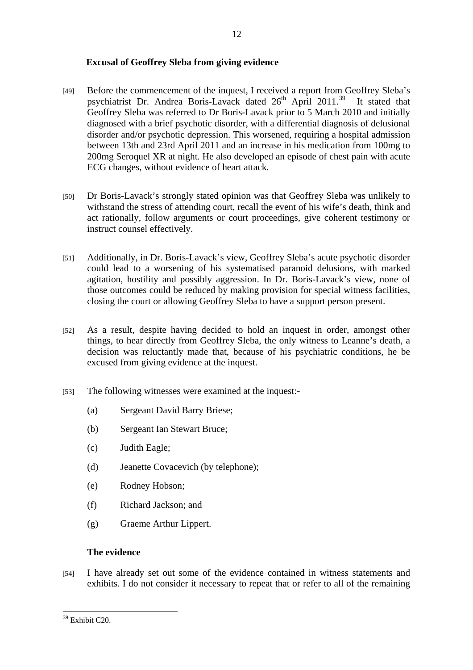## <span id="page-11-0"></span>**Excusal of Geoffrey Sleba from giving evidence**

[49] Before the commencement of the inquest, I received a report from Geoffrey Sleba's psychiatrist Dr. Andrea Boris-Lavack dated  $26<sup>th</sup>$  April  $2011<sup>39</sup>$  $2011<sup>39</sup>$  $2011<sup>39</sup>$  It stated that Geoffrey Sleba was referred to Dr Boris-Lavack prior to 5 March 2010 and initially diagnosed with a brief psychotic disorder, with a differential diagnosis of delusional disorder and/or psychotic depression. This worsened, requiring a hospital admission between 13th and 23rd April 2011 and an increase in his medication from 100mg to 200mg Seroquel XR at night. He also developed an episode of chest pain with acute ECG changes, without evidence of heart attack.

12

- [50] Dr Boris-Lavack's strongly stated opinion was that Geoffrey Sleba was unlikely to withstand the stress of attending court, recall the event of his wife's death, think and act rationally, follow arguments or court proceedings, give coherent testimony or instruct counsel effectively.
- [51] Additionally, in Dr. Boris-Lavack's view, Geoffrey Sleba's acute psychotic disorder could lead to a worsening of his systematised paranoid delusions, with marked agitation, hostility and possibly aggression. In Dr. Boris-Lavack's view, none of those outcomes could be reduced by making provision for special witness facilities, closing the court or allowing Geoffrey Sleba to have a support person present.
- [52] As a result, despite having decided to hold an inquest in order, amongst other things, to hear directly from Geoffrey Sleba, the only witness to Leanne's death, a decision was reluctantly made that, because of his psychiatric conditions, he be excused from giving evidence at the inquest.
- [53] The following witnesses were examined at the inquest:-
	- (a) Sergeant David Barry Briese;
	- (b) Sergeant Ian Stewart Bruce;
	- (c) Judith Eagle;
	- (d) Jeanette Covacevich (by telephone);
	- (e) Rodney Hobson;
	- (f) Richard Jackson; and
	- (g) Graeme Arthur Lippert.

## **The evidence**

[54] I have already set out some of the evidence contained in witness statements and exhibits. I do not consider it necessary to repeat that or refer to all of the remaining

 $\overline{a}$ <sup>39</sup> Exhibit C<sub>20</sub>.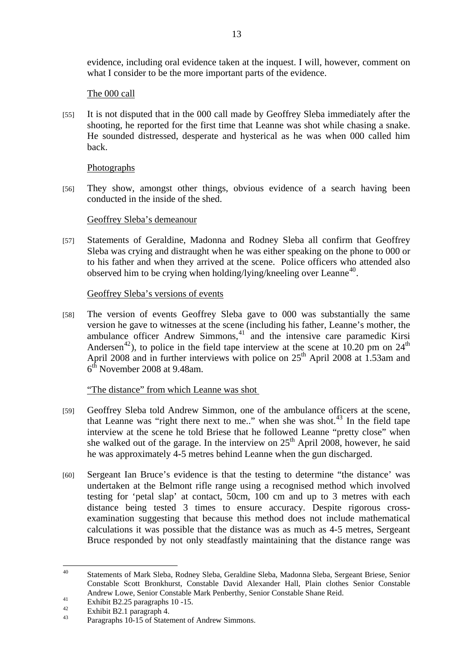<span id="page-12-0"></span>evidence, including oral evidence taken at the inquest. I will, however, comment on what I consider to be the more important parts of the evidence.

## The 000 call

[55] It is not disputed that in the 000 call made by Geoffrey Sleba immediately after the shooting, he reported for the first time that Leanne was shot while chasing a snake. He sounded distressed, desperate and hysterical as he was when 000 called him back.

# Photographs

[56] They show, amongst other things, obvious evidence of a search having been conducted in the inside of the shed.

# Geoffrey Sleba's demeanour

[57] Statements of Geraldine, Madonna and Rodney Sleba all confirm that Geoffrey Sleba was crying and distraught when he was either speaking on the phone to 000 or to his father and when they arrived at the scene. Police officers who attended also observed him to be crying when holding/lying/kneeling over Leanne<sup>[40](#page-12-0)</sup>.

# Geoffrey Sleba's versions of events

[58] The version of events Geoffrey Sleba gave to 000 was substantially the same version he gave to witnesses at the scene (including his father, Leanne's mother, the ambulance officer Andrew Simmons,<sup>[41](#page-12-0)</sup> and the intensive care paramedic Kirsi Andersen<sup>[42](#page-12-0)</sup>), to police in the field tape interview at the scene at 10.20 pm on  $24<sup>th</sup>$ April 2008 and in further interviews with police on  $25<sup>th</sup>$  April 2008 at 1.53am and  $6<sup>th</sup>$  November 2008 at 9.48am.

# "The distance" from which Leanne was shot

- [59] Geoffrey Sleba told Andrew Simmon, one of the ambulance officers at the scene, that Leanne was "right there next to me.." when she was shot. $43 \text{ In the field tape}$  $43 \text{ In the field tape}$ interview at the scene he told Briese that he followed Leanne "pretty close" when she walked out of the garage. In the interview on  $25<sup>th</sup>$  April 2008, however, he said he was approximately 4-5 metres behind Leanne when the gun discharged.
- [60] Sergeant Ian Bruce's evidence is that the testing to determine "the distance' was undertaken at the Belmont rifle range using a recognised method which involved testing for 'petal slap' at contact, 50cm, 100 cm and up to 3 metres with each distance being tested 3 times to ensure accuracy. Despite rigorous crossexamination suggesting that because this method does not include mathematical calculations it was possible that the distance was as much as 4-5 metres, Sergeant Bruce responded by not only steadfastly maintaining that the distance range was

<sup>40</sup> 40 Statements of Mark Sleba, Rodney Sleba, Geraldine Sleba, Madonna Sleba, Sergeant Briese, Senior Constable Scott Bronkhurst, Constable David Alexander Hall, Plain clothes Senior Constable Andrew Lowe, Senior Constable Mark Penberthy, Senior Constable Shane Reid.<br>
Exhibit B2.25 paragraphs 10 -15.<br>  $\frac{42}{5}$ 

 $\frac{42}{43}$  Exhibit B2.1 paragraph 4.

Paragraphs 10-15 of Statement of Andrew Simmons.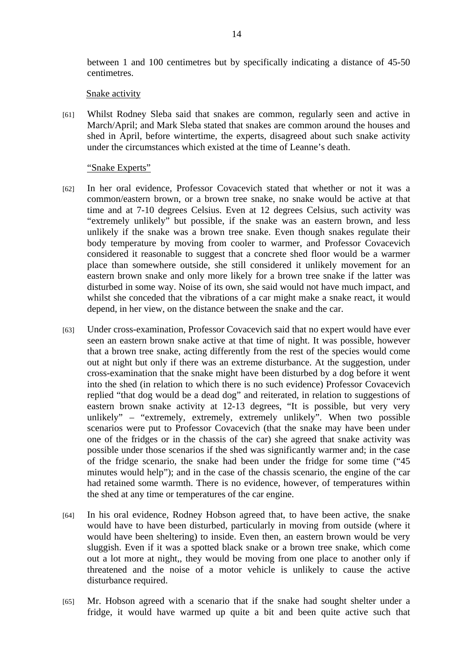between 1 and 100 centimetres but by specifically indicating a distance of 45-50 centimetres.

#### Snake activity

[61] Whilst Rodney Sleba said that snakes are common, regularly seen and active in March/April; and Mark Sleba stated that snakes are common around the houses and shed in April, before wintertime, the experts, disagreed about such snake activity under the circumstances which existed at the time of Leanne's death.

#### "Snake Experts"

- [62] In her oral evidence, Professor Covacevich stated that whether or not it was a common/eastern brown, or a brown tree snake, no snake would be active at that time and at 7-10 degrees Celsius. Even at 12 degrees Celsius, such activity was "extremely unlikely" but possible, if the snake was an eastern brown, and less unlikely if the snake was a brown tree snake. Even though snakes regulate their body temperature by moving from cooler to warmer, and Professor Covacevich considered it reasonable to suggest that a concrete shed floor would be a warmer place than somewhere outside, she still considered it unlikely movement for an eastern brown snake and only more likely for a brown tree snake if the latter was disturbed in some way. Noise of its own, she said would not have much impact, and whilst she conceded that the vibrations of a car might make a snake react, it would depend, in her view, on the distance between the snake and the car.
- [63] Under cross-examination, Professor Covacevich said that no expert would have ever seen an eastern brown snake active at that time of night. It was possible, however that a brown tree snake, acting differently from the rest of the species would come out at night but only if there was an extreme disturbance. At the suggestion, under cross-examination that the snake might have been disturbed by a dog before it went into the shed (in relation to which there is no such evidence) Professor Covacevich replied "that dog would be a dead dog" and reiterated, in relation to suggestions of eastern brown snake activity at 12-13 degrees, "It is possible, but very very unlikely" – "extremely, extremely, extremely unlikely". When two possible scenarios were put to Professor Covacevich (that the snake may have been under one of the fridges or in the chassis of the car) she agreed that snake activity was possible under those scenarios if the shed was significantly warmer and; in the case of the fridge scenario, the snake had been under the fridge for some time ("45 minutes would help"); and in the case of the chassis scenario, the engine of the car had retained some warmth. There is no evidence, however, of temperatures within the shed at any time or temperatures of the car engine.
- [64] In his oral evidence, Rodney Hobson agreed that, to have been active, the snake would have to have been disturbed, particularly in moving from outside (where it would have been sheltering) to inside. Even then, an eastern brown would be very sluggish. Even if it was a spotted black snake or a brown tree snake, which come out a lot more at night,, they would be moving from one place to another only if threatened and the noise of a motor vehicle is unlikely to cause the active disturbance required.
- [65] Mr. Hobson agreed with a scenario that if the snake had sought shelter under a fridge, it would have warmed up quite a bit and been quite active such that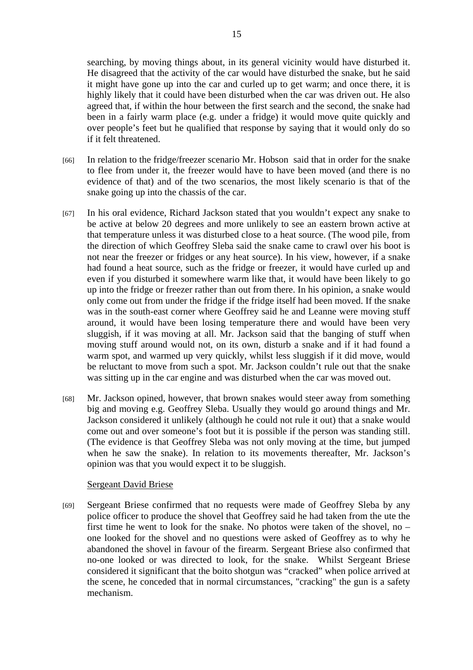searching, by moving things about, in its general vicinity would have disturbed it. He disagreed that the activity of the car would have disturbed the snake, but he said it might have gone up into the car and curled up to get warm; and once there, it is highly likely that it could have been disturbed when the car was driven out. He also agreed that, if within the hour between the first search and the second, the snake had been in a fairly warm place (e.g. under a fridge) it would move quite quickly and over people's feet but he qualified that response by saying that it would only do so if it felt threatened.

- [66] In relation to the fridge/freezer scenario Mr. Hobson said that in order for the snake to flee from under it, the freezer would have to have been moved (and there is no evidence of that) and of the two scenarios, the most likely scenario is that of the snake going up into the chassis of the car.
- [67] In his oral evidence, Richard Jackson stated that you wouldn't expect any snake to be active at below 20 degrees and more unlikely to see an eastern brown active at that temperature unless it was disturbed close to a heat source. (The wood pile, from the direction of which Geoffrey Sleba said the snake came to crawl over his boot is not near the freezer or fridges or any heat source). In his view, however, if a snake had found a heat source, such as the fridge or freezer, it would have curled up and even if you disturbed it somewhere warm like that, it would have been likely to go up into the fridge or freezer rather than out from there. In his opinion, a snake would only come out from under the fridge if the fridge itself had been moved. If the snake was in the south-east corner where Geoffrey said he and Leanne were moving stuff around, it would have been losing temperature there and would have been very sluggish, if it was moving at all. Mr. Jackson said that the banging of stuff when moving stuff around would not, on its own, disturb a snake and if it had found a warm spot, and warmed up very quickly, whilst less sluggish if it did move, would be reluctant to move from such a spot. Mr. Jackson couldn't rule out that the snake was sitting up in the car engine and was disturbed when the car was moved out.
- [68] Mr. Jackson opined, however, that brown snakes would steer away from something big and moving e.g. Geoffrey Sleba. Usually they would go around things and Mr. Jackson considered it unlikely (although he could not rule it out) that a snake would come out and over someone's foot but it is possible if the person was standing still. (The evidence is that Geoffrey Sleba was not only moving at the time, but jumped when he saw the snake). In relation to its movements thereafter, Mr. Jackson's opinion was that you would expect it to be sluggish.

## Sergeant David Briese

[69] Sergeant Briese confirmed that no requests were made of Geoffrey Sleba by any police officer to produce the shovel that Geoffrey said he had taken from the ute the first time he went to look for the snake. No photos were taken of the shovel, no – one looked for the shovel and no questions were asked of Geoffrey as to why he abandoned the shovel in favour of the firearm. Sergeant Briese also confirmed that no-one looked or was directed to look, for the snake. Whilst Sergeant Briese considered it significant that the boito shotgun was "cracked" when police arrived at the scene, he conceded that in normal circumstances, "cracking" the gun is a safety mechanism.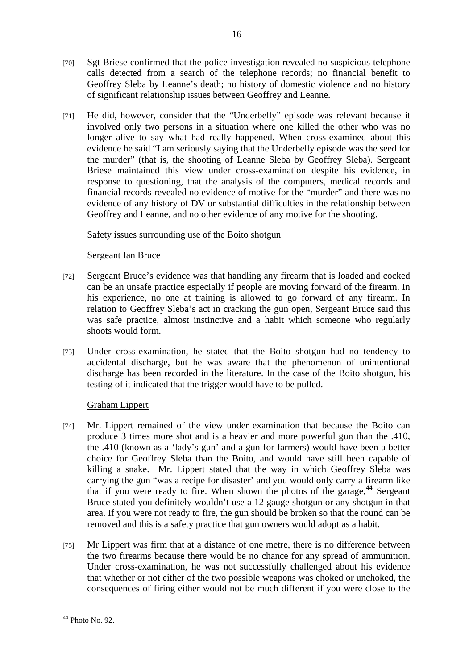- <span id="page-15-0"></span>[70] Sgt Briese confirmed that the police investigation revealed no suspicious telephone calls detected from a search of the telephone records; no financial benefit to Geoffrey Sleba by Leanne's death; no history of domestic violence and no history of significant relationship issues between Geoffrey and Leanne.
- [71] He did, however, consider that the "Underbelly" episode was relevant because it involved only two persons in a situation where one killed the other who was no longer alive to say what had really happened. When cross-examined about this evidence he said "I am seriously saying that the Underbelly episode was the seed for the murder" (that is, the shooting of Leanne Sleba by Geoffrey Sleba). Sergeant Briese maintained this view under cross-examination despite his evidence, in response to questioning, that the analysis of the computers, medical records and financial records revealed no evidence of motive for the "murder" and there was no evidence of any history of DV or substantial difficulties in the relationship between Geoffrey and Leanne, and no other evidence of any motive for the shooting.

# Safety issues surrounding use of the Boito shotgun

# Sergeant Ian Bruce

- [72] Sergeant Bruce's evidence was that handling any firearm that is loaded and cocked can be an unsafe practice especially if people are moving forward of the firearm. In his experience, no one at training is allowed to go forward of any firearm. In relation to Geoffrey Sleba's act in cracking the gun open, Sergeant Bruce said this was safe practice, almost instinctive and a habit which someone who regularly shoots would form.
- [73] Under cross-examination, he stated that the Boito shotgun had no tendency to accidental discharge, but he was aware that the phenomenon of unintentional discharge has been recorded in the literature. In the case of the Boito shotgun, his testing of it indicated that the trigger would have to be pulled.

# Graham Lippert

- [74] Mr. Lippert remained of the view under examination that because the Boito can produce 3 times more shot and is a heavier and more powerful gun than the .410, the .410 (known as a 'lady's gun' and a gun for farmers) would have been a better choice for Geoffrey Sleba than the Boito, and would have still been capable of killing a snake. Mr. Lippert stated that the way in which Geoffrey Sleba was carrying the gun "was a recipe for disaster' and you would only carry a firearm like that if you were ready to fire. When shown the photos of the garage,  $44$  Sergeant Bruce stated you definitely wouldn't use a 12 gauge shotgun or any shotgun in that area. If you were not ready to fire, the gun should be broken so that the round can be removed and this is a safety practice that gun owners would adopt as a habit.
- [75] Mr Lippert was firm that at a distance of one metre, there is no difference between the two firearms because there would be no chance for any spread of ammunition. Under cross-examination, he was not successfully challenged about his evidence that whether or not either of the two possible weapons was choked or unchoked, the consequences of firing either would not be much different if you were close to the

 $\overline{a}$  $44$  Photo No. 92.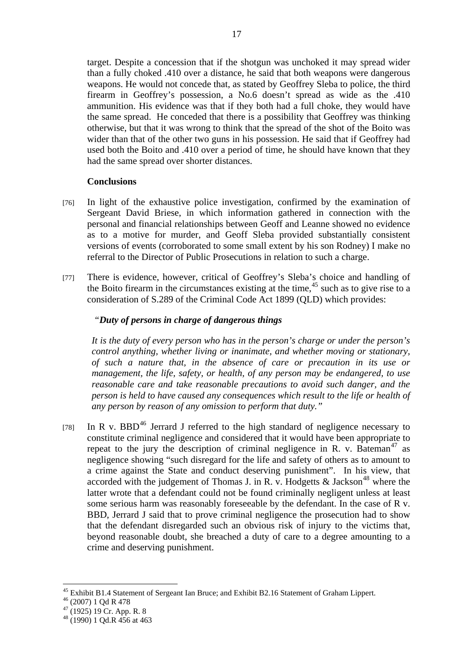<span id="page-16-0"></span>target. Despite a concession that if the shotgun was unchoked it may spread wider than a fully choked .410 over a distance, he said that both weapons were dangerous weapons. He would not concede that, as stated by Geoffrey Sleba to police, the third firearm in Geoffrey's possession, a No.6 doesn't spread as wide as the .410 ammunition. His evidence was that if they both had a full choke, they would have the same spread. He conceded that there is a possibility that Geoffrey was thinking otherwise, but that it was wrong to think that the spread of the shot of the Boito was wider than that of the other two guns in his possession. He said that if Geoffrey had used both the Boito and .410 over a period of time, he should have known that they had the same spread over shorter distances.

## **Conclusions**

- [76] In light of the exhaustive police investigation, confirmed by the examination of Sergeant David Briese, in which information gathered in connection with the personal and financial relationships between Geoff and Leanne showed no evidence as to a motive for murder, and Geoff Sleba provided substantially consistent versions of events (corroborated to some small extent by his son Rodney) I make no referral to the Director of Public Prosecutions in relation to such a charge.
- [77] There is evidence, however, critical of Geoffrey's Sleba's choice and handling of the Boito firearm in the circumstances existing at the time,  $45$  such as to give rise to a consideration of S.289 of the Criminal Code Act 1899 (QLD) which provides:

# *"Duty of persons in charge of dangerous things*

*It is the duty of every person who has in the person's charge or under the person's control anything, whether living or inanimate, and whether moving or stationary, of such a nature that, in the absence of care or precaution in its use or management, the life, safety, or health, of any person may be endangered, to use reasonable care and take reasonable precautions to avoid such danger, and the person is held to have caused any consequences which result to the life or health of any person by reason of any omission to perform that duty."* 

[78] In R v. BBD<sup>[46](#page-16-0)</sup> Jerrard J referred to the high standard of negligence necessary to constitute criminal negligence and considered that it would have been appropriate to repeat to the jury the description of criminal negligence in R. v. Bateman<sup>[47](#page-16-0)</sup> as negligence showing "such disregard for the life and safety of others as to amount to a crime against the State and conduct deserving punishment". In his view, that accorded with the judgement of Thomas J. in R. v. Hodgetts  $\&$  Jackson<sup>[48](#page-16-0)</sup> where the latter wrote that a defendant could not be found criminally negligent unless at least some serious harm was reasonably foreseeable by the defendant. In the case of R v. BBD, Jerrard J said that to prove criminal negligence the prosecution had to show that the defendant disregarded such an obvious risk of injury to the victims that, beyond reasonable doubt, she breached a duty of care to a degree amounting to a crime and deserving punishment.

 $\overline{a}$ <sup>45</sup> Exhibit B1.4 Statement of Sergeant Ian Bruce; and Exhibit B2.16 Statement of Graham Lippert.

<sup>46 (2007) 1</sup> Qd R 478

 $47(1925)$  19 Cr. App. R. 8

 $48(1990)$  1 Qd.R  $\overline{456}$  at 463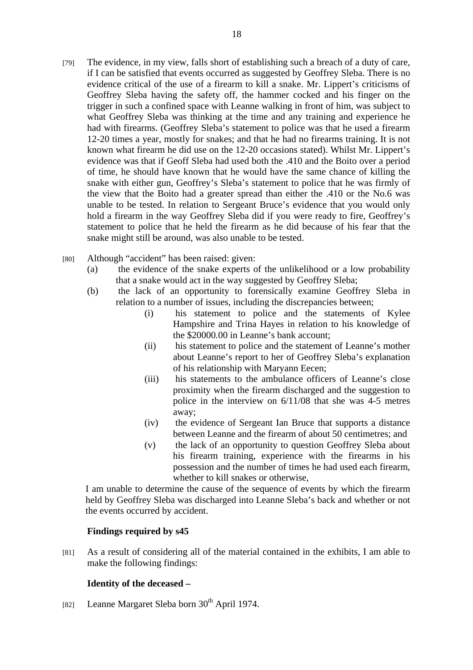- [79] The evidence, in my view, falls short of establishing such a breach of a duty of care, if I can be satisfied that events occurred as suggested by Geoffrey Sleba. There is no evidence critical of the use of a firearm to kill a snake. Mr. Lippert's criticisms of Geoffrey Sleba having the safety off, the hammer cocked and his finger on the trigger in such a confined space with Leanne walking in front of him, was subject to what Geoffrey Sleba was thinking at the time and any training and experience he had with firearms. (Geoffrey Sleba's statement to police was that he used a firearm 12-20 times a year, mostly for snakes; and that he had no firearms training. It is not known what firearm he did use on the 12-20 occasions stated). Whilst Mr. Lippert's evidence was that if Geoff Sleba had used both the .410 and the Boito over a period of time, he should have known that he would have the same chance of killing the snake with either gun, Geoffrey's Sleba's statement to police that he was firmly of the view that the Boito had a greater spread than either the .410 or the No.6 was unable to be tested. In relation to Sergeant Bruce's evidence that you would only hold a firearm in the way Geoffrey Sleba did if you were ready to fire, Geoffrey's statement to police that he held the firearm as he did because of his fear that the snake might still be around, was also unable to be tested.
- [80] Although "accident" has been raised: given:
	- (a) the evidence of the snake experts of the unlikelihood or a low probability that a snake would act in the way suggested by Geoffrey Sleba;
	- (b) the lack of an opportunity to forensically examine Geoffrey Sleba in relation to a number of issues, including the discrepancies between;
		- (i) his statement to police and the statements of Kylee Hampshire and Trina Hayes in relation to his knowledge of the \$20000.00 in Leanne's bank account;
		- (ii) his statement to police and the statement of Leanne's mother about Leanne's report to her of Geoffrey Sleba's explanation of his relationship with Maryann Eecen;
		- (iii) his statements to the ambulance officers of Leanne's close proximity when the firearm discharged and the suggestion to police in the interview on 6/11/08 that she was 4-5 metres away;
		- (iv) the evidence of Sergeant Ian Bruce that supports a distance between Leanne and the firearm of about 50 centimetres; and
		- (v) the lack of an opportunity to question Geoffrey Sleba about his firearm training, experience with the firearms in his possession and the number of times he had used each firearm, whether to kill snakes or otherwise,

I am unable to determine the cause of the sequence of events by which the firearm held by Geoffrey Sleba was discharged into Leanne Sleba's back and whether or not the events occurred by accident.

## **Findings required by s45**

[81] As a result of considering all of the material contained in the exhibits, I am able to make the following findings:

## **Identity of the deceased –**

[82] Leanne Margaret Sleba born  $30<sup>th</sup>$  April 1974.